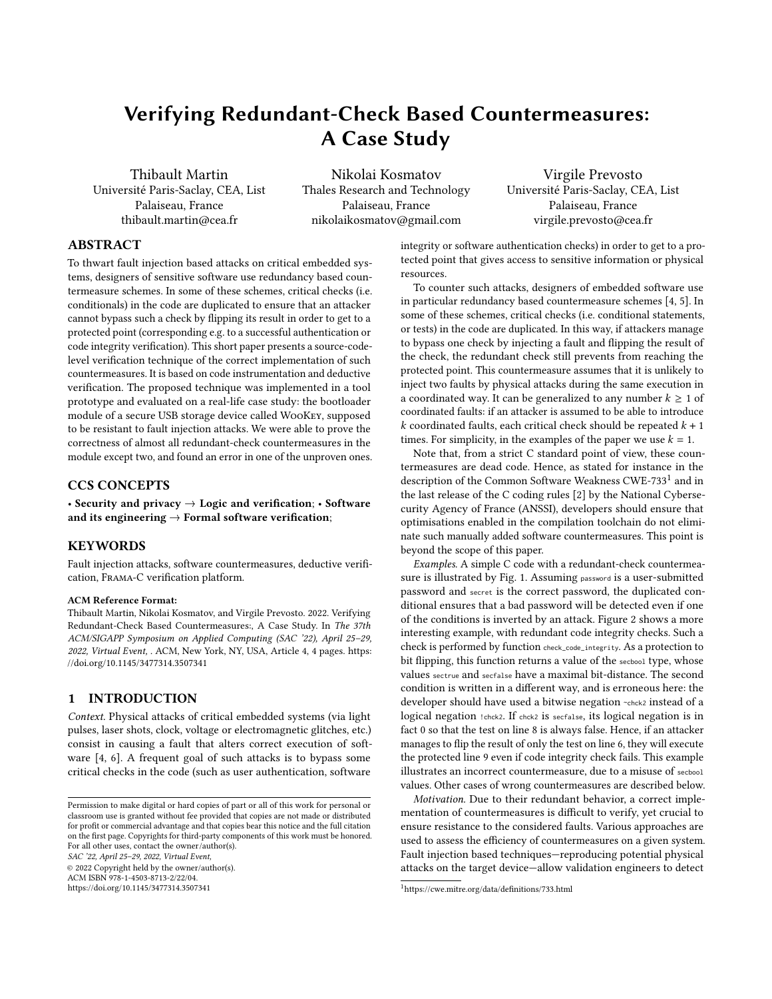# Verifying Redundant-Check Based Countermeasures: A Case Study

Thibault Martin Université Paris-Saclay, CEA, List Palaiseau, France thibault.martin@cea.fr

Nikolai Kosmatov Thales Research and Technology Palaiseau, France nikolaikosmatov@gmail.com

Virgile Prevosto Université Paris-Saclay, CEA, List Palaiseau, France virgile.prevosto@cea.fr

# ABSTRACT

To thwart fault injection based attacks on critical embedded systems, designers of sensitive software use redundancy based countermeasure schemes. In some of these schemes, critical checks (i.e. conditionals) in the code are duplicated to ensure that an attacker cannot bypass such a check by flipping its result in order to get to a protected point (corresponding e.g. to a successful authentication or code integrity verification). This short paper presents a source-codelevel verification technique of the correct implementation of such countermeasures. It is based on code instrumentation and deductive verification. The proposed technique was implemented in a tool prototype and evaluated on a real-life case study: the bootloader module of a secure USB storage device called WooKey, supposed to be resistant to fault injection attacks. We were able to prove the correctness of almost all redundant-check countermeasures in the module except two, and found an error in one of the unproven ones.

# CCS CONCEPTS

• Security and privacy  $\rightarrow$  Logic and verification; • Software and its engineering  $\rightarrow$  Formal software verification;

# KEYWORDS

Fault injection attacks, software countermeasures, deductive verification, Frama-C verification platform.

### ACM Reference Format:

Thibault Martin, Nikolai Kosmatov, and Virgile Prevosto. 2022. Verifying Redundant-Check Based Countermeasures:, A Case Study. In The 37th ACM/SIGAPP Symposium on Applied Computing (SAC '22), April 25–29, 2022, Virtual Event, . ACM, New York, NY, USA, Article 4, [4](#page-3-0) pages. [https:](https://doi.org/10.1145/3477314.3507341) [//doi.org/10.1145/3477314.3507341](https://doi.org/10.1145/3477314.3507341)

# 1 INTRODUCTION

Context. Physical attacks of critical embedded systems (via light pulses, laser shots, clock, voltage or electromagnetic glitches, etc.) consist in causing a fault that alters correct execution of software [\[4,](#page-3-1) [6\]](#page-3-2). A frequent goal of such attacks is to bypass some critical checks in the code (such as user authentication, software

© 2022 Copyright held by the owner/author(s). ACM ISBN 978-1-4503-8713-2/22/04.

<https://doi.org/10.1145/3477314.3507341>

integrity or software authentication checks) in order to get to a protected point that gives access to sensitive information or physical resources.

To counter such attacks, designers of embedded software use in particular redundancy based countermeasure schemes [\[4,](#page-3-1) [5\]](#page-3-3). In some of these schemes, critical checks (i.e. conditional statements, or tests) in the code are duplicated. In this way, if attackers manage to bypass one check by injecting a fault and flipping the result of the check, the redundant check still prevents from reaching the protected point. This countermeasure assumes that it is unlikely to inject two faults by physical attacks during the same execution in a coordinated way. It can be generalized to any number  $k \geq 1$  of coordinated faults: if an attacker is assumed to be able to introduce k coordinated faults, each critical check should be repeated  $k + 1$ times. For simplicity, in the examples of the paper we use  $k = 1$ .

Note that, from a strict C standard point of view, these countermeasures are dead code. Hence, as stated for instance in the description of the Common Software Weakness CWE-733<sup>[1](#page-0-0)</sup> and in the last release of the C coding rules [\[2\]](#page-3-4) by the National Cybersecurity Agency of France (ANSSI), developers should ensure that optimisations enabled in the compilation toolchain do not eliminate such manually added software countermeasures. This point is beyond the scope of this paper.

Examples. A simple C code with a redundant-check countermeasure is illustrated by Fig. [1.](#page-1-0) Assuming password is a user-submitted password and secret is the correct password, the duplicated conditional ensures that a bad password will be detected even if one of the conditions is inverted by an attack. Figure [2](#page-1-1) shows a more interesting example, with redundant code integrity checks. Such a check is performed by function check\_code\_integrity. As a protection to bit flipping, this function returns a value of the secbool type, whose values sectrue and secfalse have a maximal bit-distance. The second condition is written in a different way, and is erroneous here: the developer should have used a bitwise negation ~chck2 instead of a logical negation ! chck2. If chck2 is secfalse, its logical negation is in fact 0 so that the test on line 8 is always false. Hence, if an attacker manages to flip the result of only the test on line 6, they will execute the protected line 9 even if code integrity check fails. This example illustrates an incorrect countermeasure, due to a misuse of secbool values. Other cases of wrong countermeasures are described below.

Motivation. Due to their redundant behavior, a correct implementation of countermeasures is difficult to verify, yet crucial to ensure resistance to the considered faults. Various approaches are used to assess the efficiency of countermeasures on a given system. Fault injection based techniques—reproducing potential physical attacks on the target device—allow validation engineers to detect

Permission to make digital or hard copies of part or all of this work for personal or classroom use is granted without fee provided that copies are not made or distributed for profit or commercial advantage and that copies bear this notice and the full citation on the first page. Copyrights for third-party components of this work must be honored. For all other uses, contact the owner/author(s). SAC '22, April 25–29, 2022, Virtual Event,

<span id="page-0-0"></span><sup>1</sup>https://cwe.mitre.org/data/definitions/733.html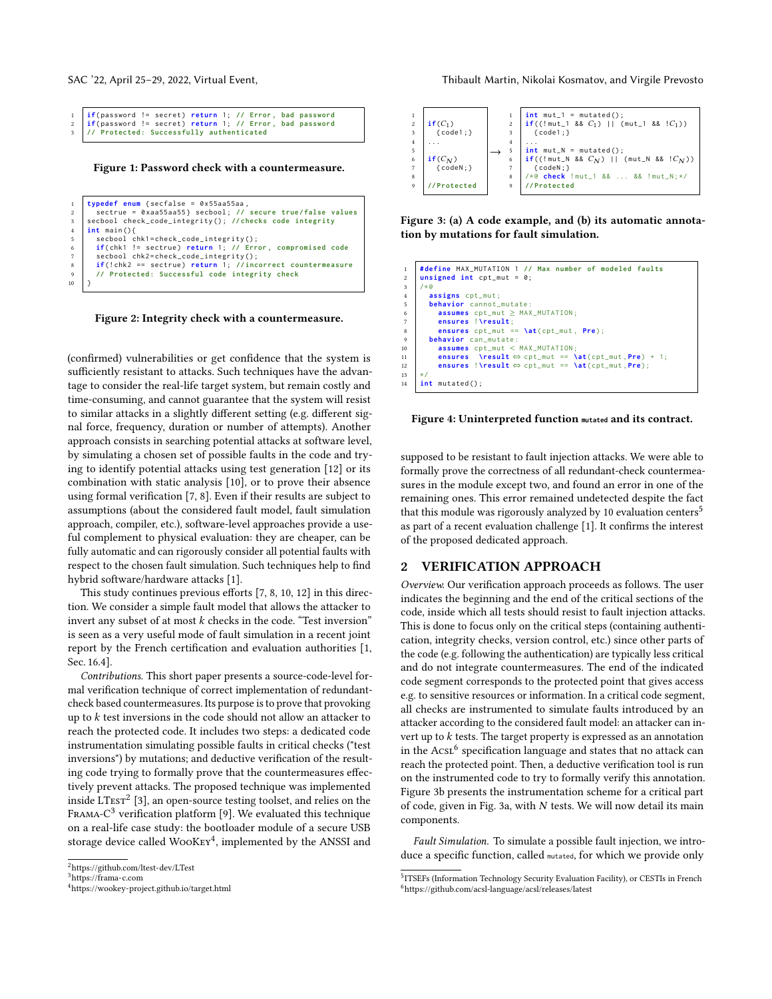```
1 if( password != secret ) return 1; // Error , bad password
2 if( password != secret ) return 1; // Error , bad password
       3 // Protected : Successfully authenticated
```
Figure 1: Password check with a countermeasure.

```
1 typedef enum { secfalse = 0 x55aa55aa ,
 2 sectrue = 0 xaa55aa55 } secbool ; // secure true / false values
3 secbool check_code_integrity () ; // checks code integrity
      4 int main () {
 5 secbool chk1 = check_code_integrity () ;
6 if( chk1 != sectrue ) return 1; // Error , compromised code
         secbool chk2=check_code_integrity();
 8 if (! chk2 == sectrue ) return 1; // incorrect countermeasure
9 // Protected : Successful code integrity check
10
```
Figure 2: Integrity check with a countermeasure.

(confirmed) vulnerabilities or get confidence that the system is sufficiently resistant to attacks. Such techniques have the advantage to consider the real-life target system, but remain costly and time-consuming, and cannot guarantee that the system will resist to similar attacks in a slightly different setting (e.g. different signal force, frequency, duration or number of attempts). Another approach consists in searching potential attacks at software level, by simulating a chosen set of possible faults in the code and trying to identify potential attacks using test generation [\[12\]](#page-3-5) or its combination with static analysis [\[10\]](#page-3-6), or to prove their absence using formal verification [\[7,](#page-3-7) [8\]](#page-3-8). Even if their results are subject to assumptions (about the considered fault model, fault simulation approach, compiler, etc.), software-level approaches provide a useful complement to physical evaluation: they are cheaper, can be fully automatic and can rigorously consider all potential faults with respect to the chosen fault simulation. Such techniques help to find hybrid software/hardware attacks [\[1\]](#page-3-9).

This study continues previous efforts [\[7,](#page-3-7) [8,](#page-3-8) [10,](#page-3-6) [12\]](#page-3-5) in this direction. We consider a simple fault model that allows the attacker to invert any subset of at most  $k$  checks in the code. "Test inversion" is seen as a very useful mode of fault simulation in a recent joint report by the French certification and evaluation authorities [\[1,](#page-3-9) Sec. 16.4].

Contributions. This short paper presents a source-code-level formal verification technique of correct implementation of redundantcheck based countermeasures. Its purpose is to prove that provoking up to  $k$  test inversions in the code should not allow an attacker to reach the protected code. It includes two steps: a dedicated code instrumentation simulating possible faults in critical checks ("test inversions") by mutations; and deductive verification of the resulting code trying to formally prove that the countermeasures effectively prevent attacks. The proposed technique was implemented inside  $LTest^2$  $LTest^2$  [\[3\]](#page-3-10), an open-source testing toolset, and relies on the FRAMA- $C^3$  $C^3$  verification platform [\[9\]](#page-3-11). We evaluated this technique on a real-life case study: the bootloader module of a secure USB storage device called WooKEY<sup>[4](#page-1-4)</sup>, implemented by the ANSSI and

SAC '22, April 25–29, 2022, Virtual Event, Thibault Martin, Nikolai Kosmatov, and Virgile Prevosto

<span id="page-1-7"></span>

Figure 3: (a) A code example, and (b) its automatic annotation by mutations for fault simulation.

<span id="page-1-8"></span> **# define** MAX\_MUTATION 1 **// Max number of modeled faults unsigned** int cpt mut =  $\theta$ :  $\begin{array}{c|c} 3 & \rightarrow \infty \\ 4 & \rightarrow \infty \end{array}$  **assigns** cpt\_mut ; **behavior** cannot mutate: **assumes** cpt\_mut ≥ MAX\_MUTATION ; **ensures** ! **\result** ; 8 **ensures** cpt\_mut == **\at**( cpt\_mut , **Pre**); **behavior** can\_mutate:<br>10 **assumes** cpt\_mut < **assumes** cpt\_mut < MAX\_MUTATION ; 11 **ensures \result** ⇔ cpt\_mut == **\at** ( cpt\_mut , **Pre**) + 1; **ensures** ! **\result** ⇔ cpt\_mut == **\at** ( cpt\_mut ,**Pre** ); 13 \*/ **int** mutated () ;

#### Figure 4: Uninterpreted function **mutated** and its contract.

supposed to be resistant to fault injection attacks. We were able to formally prove the correctness of all redundant-check countermeasures in the module except two, and found an error in one of the remaining ones. This error remained undetected despite the fact that this module was rigorously analyzed by 10 evaluation centers<sup>[5](#page-1-5)</sup> as part of a recent evaluation challenge [\[1\]](#page-3-9). It confirms the interest of the proposed dedicated approach.

## 2 VERIFICATION APPROACH

Overview. Our verification approach proceeds as follows. The user indicates the beginning and the end of the critical sections of the code, inside which all tests should resist to fault injection attacks. This is done to focus only on the critical steps (containing authentication, integrity checks, version control, etc.) since other parts of the code (e.g. following the authentication) are typically less critical and do not integrate countermeasures. The end of the indicated code segment corresponds to the protected point that gives access e.g. to sensitive resources or information. In a critical code segment, all checks are instrumented to simulate faults introduced by an attacker according to the considered fault model: an attacker can invert up to  $k$  tests. The target property is expressed as an annotation in the  $Acst^6$  $Acst^6$  specification language and states that no attack can reach the protected point. Then, a deductive verification tool is run on the instrumented code to try to formally verify this annotation. Figure [3b](#page-1-7) presents the instrumentation scheme for a critical part of code, given in Fig. [3a](#page-1-7), with  $N$  tests. We will now detail its main components.

Fault Simulation. To simulate a possible fault injection, we introduce a specific function, called mutated, for which we provide only

<span id="page-1-2"></span><sup>2</sup><https://github.com/ltest-dev/LTest>

<span id="page-1-3"></span><sup>3</sup><https://frama-c.com>

<span id="page-1-4"></span><sup>4</sup><https://wookey-project.github.io/target.html>

<span id="page-1-6"></span><span id="page-1-5"></span><sup>&</sup>lt;sup>5</sup>ITSEFs (Information Technology Security Evaluation Facility), or CESTIs in French <sup>6</sup>https://github.com/acsl-language/acsl/releases/latest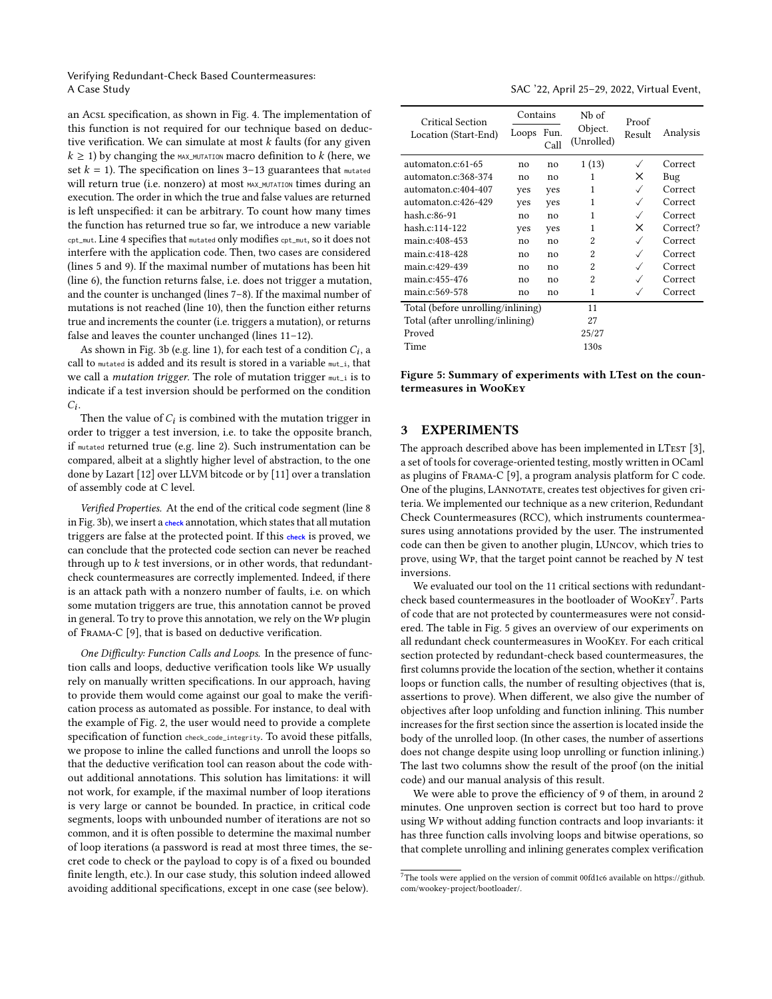Verifying Redundant-Check Based Countermeasures: A Case Study SAC '22, April 25–29, 2022, Virtual Event,

an AcsL specification, as shown in Fig. [4.](#page-1-8) The implementation of this function is not required for our technique based on deductive verification. We can simulate at most  $k$  faults (for any given  $k \geq 1$ ) by changing the MAX\_MUTATION macro definition to k (here, we set  $k = 1$ ). The specification on lines 3–13 guarantees that mutated will return true (i.e. nonzero) at most MAX MUTATION times during an execution. The order in which the true and false values are returned is left unspecified: it can be arbitrary. To count how many times the function has returned true so far, we introduce a new variable cpt\_mut. Line 4 specifies that mutated only modifies cpt\_mut, so it does not interfere with the application code. Then, two cases are considered (lines 5 and 9). If the maximal number of mutations has been hit (line 6), the function returns false, i.e. does not trigger a mutation, and the counter is unchanged (lines 7–8). If the maximal number of mutations is not reached (line 10), then the function either returns true and increments the counter (i.e. triggers a mutation), or returns false and leaves the counter unchanged (lines 11–12).

As shown in Fig. [3b](#page-1-7) (e.g. line 1), for each test of a condition  $C_i$ , a call to mutated is added and its result is stored in a variable mut i, that we call a *mutation trigger*. The role of mutation trigger  $mu_{\text{t}}$  is to indicate if a test inversion should be performed on the condition  $C_i$ .

Then the value of  $C_i$  is combined with the mutation trigger in order to trigger a test inversion, i.e. to take the opposite branch, if mutated returned true (e.g. line 2). Such instrumentation can be compared, albeit at a slightly higher level of abstraction, to the one done by Lazart [\[12\]](#page-3-5) over LLVM bitcode or by [\[11\]](#page-3-12) over a translation of assembly code at C level.

Verified Properties. At the end of the critical code segment (line 8 in Fig. [3b](#page-1-7)), we insert a **check** annotation, which states that all mutation triggers are false at the protected point. If this **check** is proved, we can conclude that the protected code section can never be reached through up to  $k$  test inversions, or in other words, that redundantcheck countermeasures are correctly implemented. Indeed, if there is an attack path with a nonzero number of faults, i.e. on which some mutation triggers are true, this annotation cannot be proved in general. To try to prove this annotation, we rely on the Wp plugin of Frama-C [\[9\]](#page-3-11), that is based on deductive verification.

One Difficulty: Function Calls and Loops. In the presence of function calls and loops, deductive verification tools like Wp usually rely on manually written specifications. In our approach, having to provide them would come against our goal to make the verification process as automated as possible. For instance, to deal with the example of Fig. [2,](#page-1-1) the user would need to provide a complete specification of function check\_code\_integrity. To avoid these pitfalls, we propose to inline the called functions and unroll the loops so that the deductive verification tool can reason about the code without additional annotations. This solution has limitations: it will not work, for example, if the maximal number of loop iterations is very large or cannot be bounded. In practice, in critical code segments, loops with unbounded number of iterations are not so common, and it is often possible to determine the maximal number of loop iterations (a password is read at most three times, the secret code to check or the payload to copy is of a fixed ou bounded finite length, etc.). In our case study, this solution indeed allowed avoiding additional specifications, except in one case (see below).

<span id="page-2-1"></span>

| Critical Section<br>Location (Start-End) | Contains |              | Nb of                 | Proof        |          |
|------------------------------------------|----------|--------------|-----------------------|--------------|----------|
|                                          | Loops    | Fun.<br>Call | Object.<br>(Unrolled) | Result       | Analysis |
| automaton.c:61-65                        | no       | no           | 1(13)                 | $\checkmark$ | Correct  |
| automaton.c:368-374                      | no       | no           | 1                     | x            | Bug      |
| automaton.c:404-407                      | ves      | yes          | 1                     | $\checkmark$ | Correct  |
| automaton.c:426-429                      | yes      | yes          | 1                     | ✓            | Correct  |
| hash.c:86-91                             | no       | no           | 1                     | ✓            | Correct  |
| hash.c:114-122                           | yes      | yes          | 1                     | ×            | Correct? |
| main.c:408-453                           | no       | no           | $\mathfrak{D}$        | $\checkmark$ | Correct  |
| main.c:418-428                           | no       | no           | 2                     | ✓            | Correct  |
| main.c:429-439                           | no       | no           | $\mathfrak{D}$        | ✓            | Correct  |
| main.c:455-476                           | no       | no           | $\mathfrak{D}$        | $\checkmark$ | Correct  |
| main.c:569-578                           | no       | no           | 1                     | ✓            | Correct  |
| Total (before unrolling/inlining)        |          |              | 11                    |              |          |
| Total (after unrolling/inlining)         |          |              | 27                    |              |          |
| Proved                                   |          |              | 25/27                 |              |          |
| Time                                     |          |              | 130s                  |              |          |

Figure 5: Summary of experiments with LTest on the countermeasures in WooKey

# 3 EXPERIMENTS

The approach described above has been implemented in LTEST [\[3\]](#page-3-10), a set of tools for coverage-oriented testing, mostly written in OCaml as plugins of Frama-C [\[9\]](#page-3-11), a program analysis platform for C code. One of the plugins, LANNOTATE, creates test objectives for given criteria. We implemented our technique as a new criterion, Redundant Check Countermeasures (RCC), which instruments countermeasures using annotations provided by the user. The instrumented code can then be given to another plugin, LUncov, which tries to prove, using WP, that the target point cannot be reached by  $N$  test inversions.

We evaluated our tool on the 11 critical sections with redundantcheck based countermeasures in the bootloader of  $WooKey^7$  $WooKey^7$ . Parts of code that are not protected by countermeasures were not considered. The table in Fig. [5](#page-2-1) gives an overview of our experiments on all redundant check countermeasures in WooKey. For each critical section protected by redundant-check based countermeasures, the first columns provide the location of the section, whether it contains loops or function calls, the number of resulting objectives (that is, assertions to prove). When different, we also give the number of objectives after loop unfolding and function inlining. This number increases for the first section since the assertion is located inside the body of the unrolled loop. (In other cases, the number of assertions does not change despite using loop unrolling or function inlining.) The last two columns show the result of the proof (on the initial code) and our manual analysis of this result.

We were able to prove the efficiency of 9 of them, in around 2 minutes. One unproven section is correct but too hard to prove using Wp without adding function contracts and loop invariants: it has three function calls involving loops and bitwise operations, so that complete unrolling and inlining generates complex verification

<span id="page-2-0"></span> $^7$  The tools were applied on the version of commit 00fd1c6 available on [https://github.](https://github.com/wookey-project/bootloader/) [com/wookey-project/bootloader/.](https://github.com/wookey-project/bootloader/)